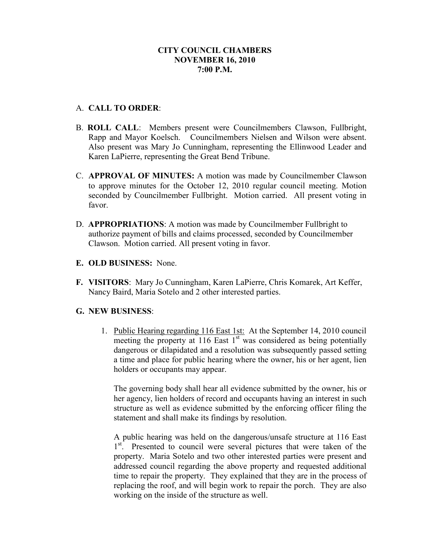### **CITY COUNCIL CHAMBERS NOVEMBER 16, 2010 7:00 P.M.**

### A. **CALL TO ORDER**:

- B. **ROLL CALL**: Members present were Councilmembers Clawson, Fullbright, Rapp and Mayor Koelsch. Councilmembers Nielsen and Wilson were absent. Also present was Mary Jo Cunningham, representing the Ellinwood Leader and Karen LaPierre, representing the Great Bend Tribune.
- C. **APPROVAL OF MINUTES:** A motion was made by Councilmember Clawson to approve minutes for the October 12, 2010 regular council meeting. Motion seconded by Councilmember Fullbright. Motion carried. All present voting in favor.
- D. **APPROPRIATIONS**: A motion was made by Councilmember Fullbright to authorize payment of bills and claims processed, seconded by Councilmember Clawson. Motion carried. All present voting in favor.
- **E. OLD BUSINESS:** None.
- **F. VISITORS**: Mary Jo Cunningham, Karen LaPierre, Chris Komarek, Art Keffer, Nancy Baird, Maria Sotelo and 2 other interested parties.

# **G. NEW BUSINESS**:

1. Public Hearing regarding 116 East 1st: At the September 14, 2010 council meeting the property at 116 East  $1<sup>st</sup>$  was considered as being potentially dangerous or dilapidated and a resolution was subsequently passed setting a time and place for public hearing where the owner, his or her agent, lien holders or occupants may appear.

The governing body shall hear all evidence submitted by the owner, his or her agency, lien holders of record and occupants having an interest in such structure as well as evidence submitted by the enforcing officer filing the statement and shall make its findings by resolution.

A public hearing was held on the dangerous/unsafe structure at 116 East 1<sup>st</sup>. Presented to council were several pictures that were taken of the property. Maria Sotelo and two other interested parties were present and addressed council regarding the above property and requested additional time to repair the property. They explained that they are in the process of replacing the roof, and will begin work to repair the porch. They are also working on the inside of the structure as well.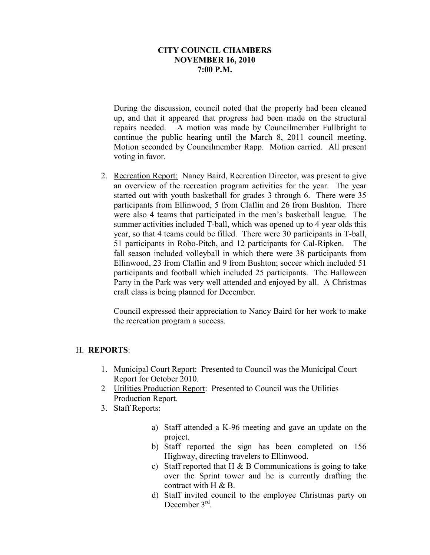#### **CITY COUNCIL CHAMBERS NOVEMBER 16, 2010 7:00 P.M.**

During the discussion, council noted that the property had been cleaned up, and that it appeared that progress had been made on the structural repairs needed. A motion was made by Councilmember Fullbright to continue the public hearing until the March 8, 2011 council meeting. Motion seconded by Councilmember Rapp. Motion carried. All present voting in favor.

2. Recreation Report: Nancy Baird, Recreation Director, was present to give an overview of the recreation program activities for the year. The year started out with youth basketball for grades 3 through 6. There were 35 participants from Ellinwood, 5 from Claflin and 26 from Bushton. There were also 4 teams that participated in the men's basketball league. The summer activities included T-ball, which was opened up to 4 year olds this year, so that 4 teams could be filled. There were 30 participants in T-ball, 51 participants in Robo-Pitch, and 12 participants for Cal-Ripken. The fall season included volleyball in which there were 38 participants from Ellinwood, 23 from Claflin and 9 from Bushton; soccer which included 51 participants and football which included 25 participants. The Halloween Party in the Park was very well attended and enjoyed by all. A Christmas craft class is being planned for December.

Council expressed their appreciation to Nancy Baird for her work to make the recreation program a success.

# H. **REPORTS**:

- 1. Municipal Court Report: Presented to Council was the Municipal Court Report for October 2010.
- 2 Utilities Production Report: Presented to Council was the Utilities Production Report.
- 3. Staff Reports:
	- a) Staff attended a K-96 meeting and gave an update on the project.
	- b) Staff reported the sign has been completed on 156 Highway, directing travelers to Ellinwood.
	- c) Staff reported that H  $\&$  B Communications is going to take over the Sprint tower and he is currently drafting the contract with H & B.
	- d) Staff invited council to the employee Christmas party on December 3<sup>rd</sup>.